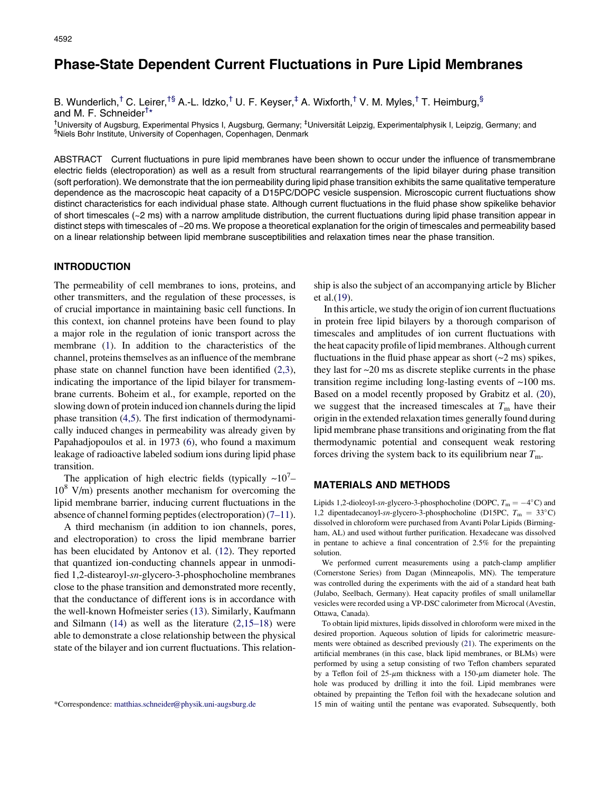# Phase-State Dependent Current Fluctuations in Pure Lipid Membranes

## B. Wunderlich,<sup>†</sup> C. Leirer,<sup>†§</sup> A.-L. Idzko,<sup>†</sup> U. F. Keyser,<sup>‡</sup> A. Wixforth,<sup>†</sup> V. M. Myles,<sup>†</sup> T. Heimburg,<sup>§</sup>

and M. F. Schneider<sup>†\*</sup>

<sup>†</sup>University of Augsburg, Experimental Physics I, Augsburg, Germany; <sup>‡</sup>Universität Leipzig, Experimentalphysik I, Leipzig, Germany; and §Niels Bohr Institute, University of Copenhagen, Copenhagen, Denmark

ABSTRACT Current fluctuations in pure lipid membranes have been shown to occur under the influence of transmembrane electric fields (electroporation) as well as a result from structural rearrangements of the lipid bilayer during phase transition (soft perforation). We demonstrate that the ion permeability during lipid phase transition exhibits the same qualitative temperature dependence as the macroscopic heat capacity of a D15PC/DOPC vesicle suspension. Microscopic current fluctuations show distinct characteristics for each individual phase state. Although current fluctuations in the fluid phase show spikelike behavior of short timescales (~2 ms) with a narrow amplitude distribution, the current fluctuations during lipid phase transition appear in distinct steps with timescales of ~20 ms. We propose a theoretical explanation for the origin of timescales and permeability based on a linear relationship between lipid membrane susceptibilities and relaxation times near the phase transition.

## INTRODUCTION

The permeability of cell membranes to ions, proteins, and other transmitters, and the regulation of these processes, is of crucial importance in maintaining basic cell functions. In this context, ion channel proteins have been found to play a major role in the regulation of ionic transport across the membrane [\(1](#page-4-0)). In addition to the characteristics of the channel, proteins themselves as an influence of the membrane phase state on channel function have been identified [\(2,3\)](#page-4-0), indicating the importance of the lipid bilayer for transmembrane currents. Boheim et al., for example, reported on the slowing down of protein induced ion channels during the lipid phase transition ([4,5](#page-4-0)). The first indication of thermodynamically induced changes in permeability was already given by Papahadjopoulos et al. in 1973 [\(6](#page-4-0)), who found a maximum leakage of radioactive labeled sodium ions during lipid phase transition.

The application of high electric fields (typically  $\sim 10^{7} -$ 10<sup>8</sup> V/m) presents another mechanism for overcoming the lipid membrane barrier, inducing current fluctuations in the absence of channel forming peptides (electroporation) $(7-11)$ .

A third mechanism (in addition to ion channels, pores, and electroporation) to cross the lipid membrane barrier has been elucidated by Antonov et al. [\(12](#page-4-0)). They reported that quantized ion-conducting channels appear in unmodified 1,2-distearoyl-sn-glycero-3-phosphocholine membranes close to the phase transition and demonstrated more recently, that the conductance of different ions is in accordance with the well-known Hofmeister series ([13](#page-4-0)). Similarly, Kaufmann and Silmann  $(14)$  $(14)$  as well as the literature  $(2,15-18)$  were able to demonstrate a close relationship between the physical state of the bilayer and ion current fluctuations. This relationship is also the subject of an accompanying article by Blicher et al.[\(19](#page-4-0)).

In this article, we study the origin of ion current fluctuations in protein free lipid bilayers by a thorough comparison of timescales and amplitudes of ion current fluctuations with the heat capacity profile of lipid membranes. Although current fluctuations in the fluid phase appear as short  $(\sim 2 \text{ ms})$  spikes, they last for  $\sim$ 20 ms as discrete steplike currents in the phase transition regime including long-lasting events of  $\sim 100$  ms. Based on a model recently proposed by Grabitz et al. ([20\)](#page-5-0), we suggest that the increased timescales at  $T<sub>m</sub>$  have their origin in the extended relaxation times generally found during lipid membrane phase transitions and originating from the flat thermodynamic potential and consequent weak restoring forces driving the system back to its equilibrium near  $T_{\text{m}}$ .

#### MATERIALS AND METHODS

Lipids 1,2-dioleoyl-sn-glycero-3-phosphocholine (DOPC,  $T_m = -4$ °C) and 1,2 dipentadecanoyl-sn-glycero-3-phosphocholine (D15PC,  $T_m = 33^{\circ}$ C) dissolved in chloroform were purchased from Avanti Polar Lipids (Birmingham, AL) and used without further purification. Hexadecane was dissolved in pentane to achieve a final concentration of 2.5% for the prepainting solution.

We performed current measurements using a patch-clamp amplifier (Cornerstone Series) from Dagan (Minneapolis, MN). The temperature was controlled during the experiments with the aid of a standard heat bath (Julabo, Seelbach, Germany). Heat capacity profiles of small unilamellar vesicles were recorded using a VP-DSC calorimeter from Microcal (Avestin, Ottawa, Canada).

To obtain lipid mixtures, lipids dissolved in chloroform were mixed in the desired proportion. Aqueous solution of lipids for calorimetric measurements were obtained as described previously ([21\)](#page-5-0). The experiments on the artificial membranes (in this case, black lipid membranes, or BLMs) were performed by using a setup consisting of two Teflon chambers separated by a Teflon foil of  $25-\mu m$  thickness with a  $150-\mu m$  diameter hole. The hole was produced by drilling it into the foil. Lipid membranes were obtained by prepainting the Teflon foil with the hexadecane solution and \*Correspondence: [matthias.schneider@physik.uni-augsburg.de](mailto:matthias.schneider@physik.uni-augsburg.de) 15 min of waiting until the pentane was evaporated. Subsequently, both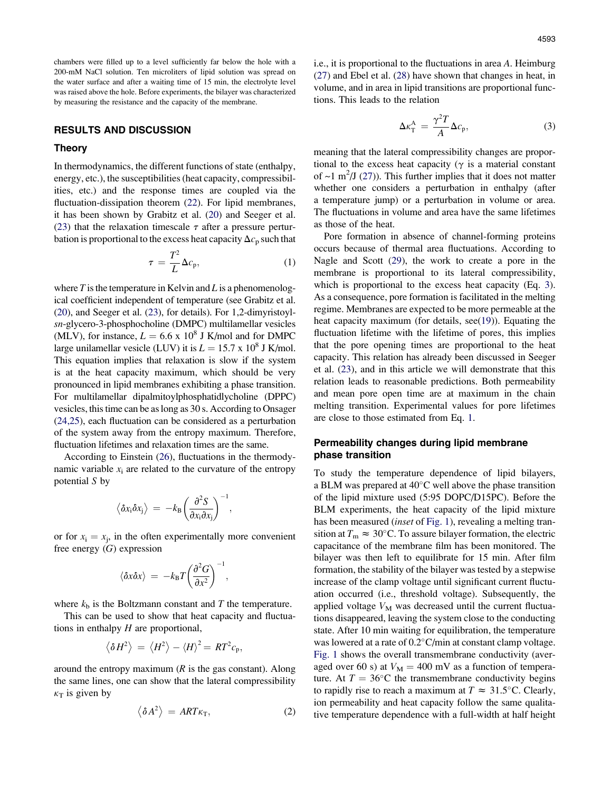chambers were filled up to a level sufficiently far below the hole with a 200-mM NaCl solution. Ten microliters of lipid solution was spread on the water surface and after a waiting time of 15 min, the electrolyte level was raised above the hole. Before experiments, the bilayer was characterized by measuring the resistance and the capacity of the membrane.

#### RESULTS AND DISCUSSION

#### Theory

In thermodynamics, the different functions of state (enthalpy, energy, etc.), the susceptibilities(heat capacity, compressibilities, etc.) and the response times are coupled via the fluctuation-dissipation theorem [\(22](#page-5-0)). For lipid membranes, it has been shown by Grabitz et al. [\(20](#page-5-0)) and Seeger et al. ([23\)](#page-5-0) that the relaxation timescale  $\tau$  after a pressure perturbation is proportional to the excess heat capacity  $\Delta c_p$  such that

$$
\tau = \frac{T^2}{L} \Delta c_p, \tag{1}
$$

where  $T$  is the temperature in Kelvin and  $L$  is a phenomenological coefficient independent of temperature (see Grabitz et al. ([20](#page-5-0)), and Seeger et al. ([23](#page-5-0)), for details). For 1,2-dimyristoylsn-glycero-3-phosphocholine (DMPC) multilamellar vesicles (MLV), for instance,  $L = 6.6 \times 10^8$  J K/mol and for DMPC large unilamellar vesicle (LUV) it is  $L = 15.7 \times 10^8$  J K/mol. This equation implies that relaxation is slow if the system is at the heat capacity maximum, which should be very pronounced in lipid membranes exhibiting a phase transition. For multilamellar dipalmitoylphosphatidlycholine (DPPC) vesicles, thistime can be aslong as 30 s. According to Onsager ([24,25\)](#page-5-0), each fluctuation can be considered as a perturbation of the system away from the entropy maximum. Therefore, fluctuation lifetimes and relaxation times are the same.

According to Einstein ([26\)](#page-5-0), fluctuations in the thermodynamic variable  $x_i$  are related to the curvature of the entropy potential S by

$$
\left\langle \delta x_i \delta x_j \right\rangle \,=\, -k_{\text{B}} \bigg( \frac{\partial^2 S}{\partial x_i \partial x_j} \bigg)^{-1},
$$

or for  $x_i = x_j$ , in the often experimentally more convenient free energy  $(G)$  expression

$$
\langle \delta x \delta x \rangle = -k_{\rm B} T \left( \frac{\partial^2 G}{\partial x^2} \right)^{-1},
$$

where  $k<sub>b</sub>$  is the Boltzmann constant and T the temperature.

This can be used to show that heat capacity and fluctuations in enthalpy  $H$  are proportional,

$$
\langle \delta H^2 \rangle = \langle H^2 \rangle - \langle H \rangle^2 = RT^2 c_p,
$$

around the entropy maximum  $(R$  is the gas constant). Along the same lines, one can show that the lateral compressibility  $\kappa_T$  is given by

$$
\left\langle \delta A^2 \right\rangle = ART\kappa_T, \tag{2}
$$

i.e., it is proportional to the fluctuations in area A. Heimburg ([27\)](#page-5-0) and Ebel et al. [\(28](#page-5-0)) have shown that changes in heat, in volume, and in area in lipid transitions are proportional functions. This leads to the relation

$$
\Delta \kappa_{\rm T}^{\rm A} = \frac{\gamma^2 T}{A} \Delta c_{\rm p},\tag{3}
$$

meaning that the lateral compressibility changes are proportional to the excess heat capacity ( $\gamma$  is a material constant of  $\sim$ 1 m<sup>2</sup>/J ([27\)](#page-5-0)). This further implies that it does not matter whether one considers a perturbation in enthalpy (after a temperature jump) or a perturbation in volume or area. The fluctuations in volume and area have the same lifetimes as those of the heat.

Pore formation in absence of channel-forming proteins occurs because of thermal area fluctuations. According to Nagle and Scott [\(29](#page-5-0)), the work to create a pore in the membrane is proportional to its lateral compressibility, which is proportional to the excess heat capacity (Eq. 3). As a consequence, pore formation is facilitated in the melting regime. Membranes are expected to be more permeable at the heat capacity maximum (for details, see([19\)](#page-4-0)). Equating the fluctuation lifetime with the lifetime of pores, this implies that the pore opening times are proportional to the heat capacity. This relation has already been discussed in Seeger et al. [\(23](#page-5-0)), and in this article we will demonstrate that this relation leads to reasonable predictions. Both permeability and mean pore open time are at maximum in the chain melting transition. Experimental values for pore lifetimes are close to those estimated from Eq. 1.

## Permeability changes during lipid membrane phase transition

To study the temperature dependence of lipid bilayers, a BLM was prepared at 40 C well above the phase transition of the lipid mixture used (5:95 DOPC/D15PC). Before the BLM experiments, the heat capacity of the lipid mixture has been measured (inset of [Fig.](#page-2-0) 1), revealing a melting transition at  $T_{\text{m}} \approx 30^{\circ}$ C. To assure bilayer formation, the electric capacitance of the membrane film has been monitored. The bilayer was then left to equilibrate for 15 min. After film formation, the stability of the bilayer was tested by a stepwise increase of the clamp voltage until significant current fluctuation occurred (i.e., threshold voltage). Subsequently, the applied voltage  $V_M$  was decreased until the current fluctuations disappeared, leaving the system close to the conducting state. After 10 min waiting for equilibration, the temperature was lowered at a rate of 0.2 C/min at constant clamp voltage. [Fig.](#page-2-0) 1 shows the overall transmembrane conductivity (averaged over 60 s) at  $V_M = 400$  mV as a function of temperature. At  $T = 36^{\circ}\text{C}$  the transmembrane conductivity begins to rapidly rise to reach a maximum at  $T \approx 31.5^{\circ}$ C. Clearly, ion permeability and heat capacity follow the same qualitative temperature dependence with a full-width at half height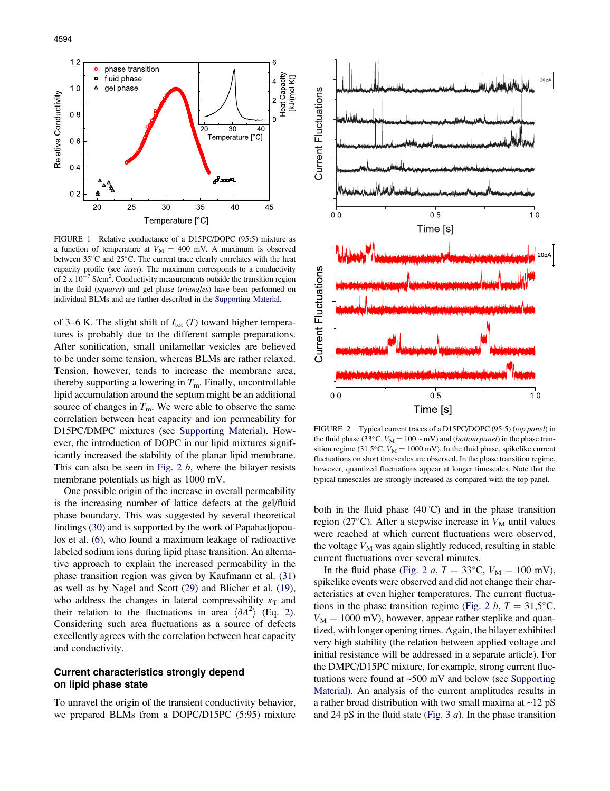4594

<span id="page-2-0"></span>

FIGURE 1 Relative conductance of a D15PC/DOPC (95:5) mixture as a function of temperature at  $V_M = 400$  mV. A maximum is observed between 35°C and 25°C. The current trace clearly correlates with the heat capacity profile (see inset). The maximum corresponds to a conductivity of 2 x  $10^{-7}$  S/cm<sup>2</sup>. Conductivity measurements outside the transition region in the fluid (squares) and gel phase (triangles) have been performed on individual BLMs and are further described in the [Supporting](#page-4-0) Material.

of 3–6 K. The slight shift of  $I_{\text{tot}}(T)$  toward higher temperatures is probably due to the different sample preparations. After sonification, small unilamellar vesicles are believed to be under some tension, whereas BLMs are rather relaxed. Tension, however, tends to increase the membrane area, thereby supporting a lowering in  $T<sub>m</sub>$ . Finally, uncontrollable lipid accumulation around the septum might be an additional source of changes in  $T<sub>m</sub>$ . We were able to observe the same correlation between heat capacity and ion permeability for D15PC/DMPC mixtures (see [Supporting](#page-4-0) Material). However, the introduction of DOPC in our lipid mixtures significantly increased the stability of the planar lipid membrane. This can also be seen in Fig.  $2 b$ , where the bilayer resists membrane potentials as high as 1000 mV.

One possible origin of the increase in overall permeability is the increasing number of lattice defects at the gel/fluid phase boundary. This was suggested by several theoretical findings ([30\)](#page-5-0) and is supported by the work of Papahadjopoulos et al. ([6\)](#page-4-0), who found a maximum leakage of radioactive labeled sodium ions during lipid phase transition. An alternative approach to explain the increased permeability in the phase transition region was given by Kaufmann et al. [\(31](#page-5-0)) as well as by Nagel and Scott ([29\)](#page-5-0) and Blicher et al. ([19\)](#page-4-0), who address the changes in lateral compressibility  $\kappa_T$  and their relation to the fluctuations in area  $\langle \partial A^2 \rangle$  (Eq. 2). Considering such area fluctuations as a source of defects excellently agrees with the correlation between heat capacity and conductivity.

## Current characteristics strongly depend on lipid phase state

To unravel the origin of the transient conductivity behavior, we prepared BLMs from a DOPC/D15PC (5:95) mixture



FIGURE 2 Typical current traces of a D15PC/DOPC (95:5) (top panel) in the fluid phase (33°C,  $V_M = 100 \sim mV$ ) and (*bottom panel*) in the phase transition regime (31.5°C,  $V_M = 1000$  mV). In the fluid phase, spikelike current fluctuations on short timescales are observed. In the phase transition regime, however, quantized fluctuations appear at longer timescales. Note that the typical timescales are strongly increased as compared with the top panel.

both in the fluid phase (40 C) and in the phase transition region (27°C). After a stepwise increase in  $V_M$  until values were reached at which current fluctuations were observed, the voltage  $V_M$  was again slightly reduced, resulting in stable current fluctuations over several minutes.

In the fluid phase (Fig. 2 a,  $T = 33^{\circ}$ C,  $V_M = 100$  mV), spikelike events were observed and did not change their characteristics at even higher temperatures. The current fluctuations in the phase transition regime (Fig. 2 b,  $T = 31,5^{\circ}$ C,  $V_M = 1000$  mV), however, appear rather steplike and quantized, with longer opening times. Again, the bilayer exhibited very high stability (the relation between applied voltage and initial resistance will be addressed in a separate article). For the DMPC/D15PC mixture, for example, strong current fluctuations were found at  $\sim$ 500 mV and below (see [Supporting](#page-4-0) [Material\)](#page-4-0). An analysis of the current amplitudes results in a rather broad distribution with two small maxima at  $\sim$ 12 pS and 24 pS in the fluid state ([Fig.](#page-3-0) 3  $a$ ). In the phase transition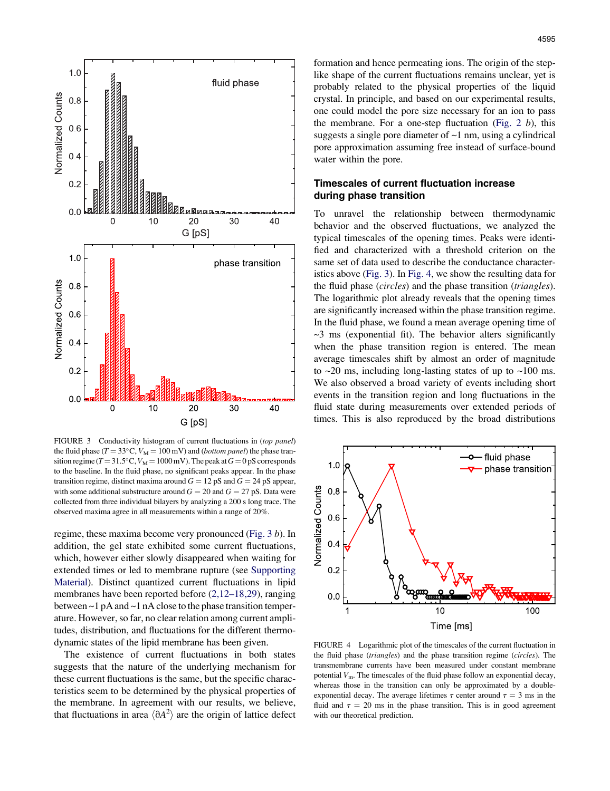<span id="page-3-0"></span>

FIGURE 3 Conductivity histogram of current fluctuations in (top panel) the fluid phase ( $T = 33^{\circ}$ C,  $V_M = 100$  mV) and (*bottom panel*) the phase transition regime ( $T = 31.5^{\circ}$ C,  $V_M = 1000$  mV). The peak at  $G = 0$  pS corresponds to the baseline. In the fluid phase, no significant peaks appear. In the phase transition regime, distinct maxima around  $G = 12$  pS and  $G = 24$  pS appear, with some additional substructure around  $G = 20$  and  $G = 27$  pS. Data were collected from three individual bilayers by analyzing a 200 s long trace. The observed maxima agree in all measurements within a range of 20%.

regime, these maxima become very pronounced (Fig. 3 b). In addition, the gel state exhibited some current fluctuations, which, however either slowly disappeared when waiting for extended times or led to membrane rupture (see [Supporting](#page-4-0) [Material\)](#page-4-0). Distinct quantized current fluctuations in lipid membranes have been reported before [\(2,12–18,29](#page-4-0)), ranging between ~1 pA and ~1 nA close to the phase transition temperature. However,so far, no clear relation among current amplitudes, distribution, and fluctuations for the different thermodynamic states of the lipid membrane has been given.

The existence of current fluctuations in both states suggests that the nature of the underlying mechanism for these current fluctuations is the same, but the specific characteristics seem to be determined by the physical properties of the membrane. In agreement with our results, we believe, that fluctuations in area  $\langle 0A^2 \rangle$  are the origin of lattice defect

formation and hence permeating ions. The origin of the steplike shape of the current fluctuations remains unclear, yet is probably related to the physical properties of the liquid crystal. In principle, and based on our experimental results, one could model the pore size necessary for an ion to pass the membrane. For a one-step fluctuation ([Fig.](#page-2-0) 2  $b$ ), this suggests a single pore diameter of ~1 nm, using a cylindrical pore approximation assuming free instead of surface-bound water within the pore.

### Timescales of current fluctuation increase during phase transition

To unravel the relationship between thermodynamic behavior and the observed fluctuations, we analyzed the typical timescales of the opening times. Peaks were identified and characterized with a threshold criterion on the same set of data used to describe the conductance characteristics above (Fig. 3). In Fig. 4, we show the resulting data for the fluid phase (circles) and the phase transition (triangles). The logarithmic plot already reveals that the opening times are significantly increased within the phase transition regime. In the fluid phase, we found a mean average opening time of  $\sim$ 3 ms (exponential fit). The behavior alters significantly when the phase transition region is entered. The mean average timescales shift by almost an order of magnitude to  $\sim$ 20 ms, including long-lasting states of up to  $\sim$ 100 ms. We also observed a broad variety of events including short events in the transition region and long fluctuations in the fluid state during measurements over extended periods of times. This is also reproduced by the broad distributions



FIGURE 4 Logarithmic plot of the timescales of the current fluctuation in the fluid phase (triangles) and the phase transition regime (circles). The transmembrane currents have been measured under constant membrane potential  $V_{\text{m}}$ . The timescales of the fluid phase follow an exponential decay, whereas those in the transition can only be approximated by a doubleexponential decay. The average lifetimes  $\tau$  center around  $\tau = 3$  ms in the fluid and  $\tau = 20$  ms in the phase transition. This is in good agreement with our theoretical prediction.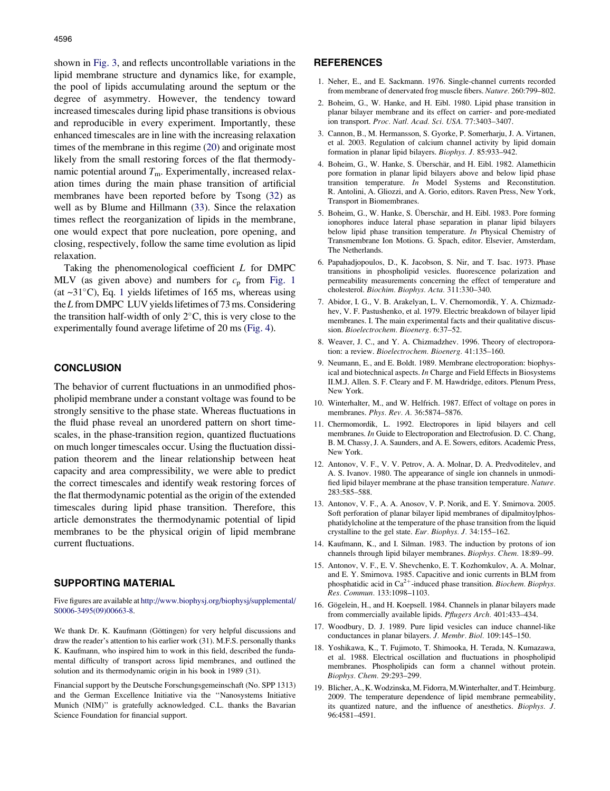<span id="page-4-0"></span>increased timescales during lipid phase transitions is obvious and reproducible in every experiment. Importantly, these enhanced timescales are in line with the increasing relaxation times of the membrane in this regime [\(20](#page-5-0)) and originate most likely from the small restoring forces of the flat thermodynamic potential around  $T<sub>m</sub>$ . Experimentally, increased relaxation times during the main phase transition of artificial membranes have been reported before by Tsong [\(32](#page-5-0)) as well as by Blume and Hillmann [\(33](#page-5-0)). Since the relaxation times reflect the reorganization of lipids in the membrane, one would expect that pore nucleation, pore opening, and closing, respectively, follow the same time evolution as lipid relaxation.

Taking the phenomenological coefficient L for DMPC MLV (as given above) and numbers for  $c_p$  from [Fig.](#page-2-0) 1 (at  $\sim$ 31°C), Eq. 1 yields lifetimes of 165 ms, whereas using the  $L$  from DMPC LUV yields lifetimes of 73 ms. Considering the transition half-width of only 2 C, this is very close to the experimentally found average lifetime of 20 ms [\(Fig.](#page-3-0) 4).

#### **CONCLUSION**

The behavior of current fluctuations in an unmodified phospholipid membrane under a constant voltage was found to be strongly sensitive to the phase state. Whereas fluctuations in the fluid phase reveal an unordered pattern on short timescales, in the phase-transition region, quantized fluctuations on much longer timescales occur. Using the fluctuation dissipation theorem and the linear relationship between heat capacity and area compressibility, we were able to predict the correct timescales and identify weak restoring forces of the flat thermodynamic potential as the origin of the extended timescales during lipid phase transition. Therefore, this article demonstrates the thermodynamic potential of lipid membranes to be the physical origin of lipid membrane current fluctuations.

## SUPPORTING MATERIAL

Five figures are available at [http://www.biophysj.org/biophysj/supplemental/](http://www.biophysj.org/biophysj/supplemental/S0006-3495(09)00663-8) [S0006-3495\(09\)00663-8.](http://www.biophysj.org/biophysj/supplemental/S0006-3495(09)00663-8)

We thank Dr. K. Kaufmann (Göttingen) for very helpful discussions and draw the reader's attention to his earlier work (31). M.F.S. personally thanks K. Kaufmann, who inspired him to work in this field, described the fundamental difficulty of transport across lipid membranes, and outlined the solution and its thermodynamic origin in his book in 1989 (31).

Financial support by the Deutsche Forschungsgemeinschaft (No. SPP 1313) and the German Excellence Initiative via the ''Nanosystems Initiative Munich (NIM)'' is gratefully acknowledged. C.L. thanks the Bavarian Science Foundation for financial support.

#### **REFERENCES**

- 1. Neher, E., and E. Sackmann. 1976. Single-channel currents recorded from membrane of denervated frog muscle fibers. Nature. 260:799–802.
- 2. Boheim, G., W. Hanke, and H. Eibl. 1980. Lipid phase transition in planar bilayer membrane and its effect on carrier- and pore-mediated ion transport. Proc. Natl. Acad. Sci. USA. 77:3403–3407.
- 3. Cannon, B., M. Hermansson, S. Gyorke, P. Somerharju, J. A. Virtanen, et al. 2003. Regulation of calcium channel activity by lipid domain formation in planar lipid bilayers. Biophys. J. 85:933–942.
- 4. Boheim, G., W. Hanke, S. Überschär, and H. Eibl. 1982. Alamethicin pore formation in planar lipid bilayers above and below lipid phase transition temperature. In Model Systems and Reconstitution. R. Antolini, A. Gliozzi, and A. Gorio, editors. Raven Press, New York, Transport in Biomembranes.
- 5. Boheim, G., W. Hanke, S. Überschär, and H. Eibl. 1983. Pore forming ionophores induce lateral phase separation in planar lipid bilayers below lipid phase transition temperature. In Physical Chemistry of Transmembrane Ion Motions. G. Spach, editor. Elsevier, Amsterdam, The Netherlands.
- 6. Papahadjopoulos, D., K. Jacobson, S. Nir, and T. Isac. 1973. Phase transitions in phospholipid vesicles. fluorescence polarization and permeability measurements concerning the effect of temperature and cholesterol. Biochim. Biophys. Acta. 311:330–340.
- 7. Abidor, I. G., V. B. Arakelyan, L. V. Chernomordik, Y. A. Chizmadzhev, V. F. Pastushenko, et al. 1979. Electric breakdown of bilayer lipid membranes. I. The main experimental facts and their qualitative discussion. Bioelectrochem. Bioenerg. 6:37–52.
- 8. Weaver, J. C., and Y. A. Chizmadzhev. 1996. Theory of electroporation: a review. Bioelectrochem. Bioenerg. 41:135–160.
- 9. Neumann, E., and E. Boldt. 1989. Membrane electroporation: biophysical and biotechnical aspects. In Charge and Field Effects in Biosystems II.M.J. Allen. S. F. Cleary and F. M. Hawdridge, editors. Plenum Press, New York.
- 10. Winterhalter, M., and W. Helfrich. 1987. Effect of voltage on pores in membranes. Phys. Rev. A. 36:5874–5876.
- 11. Chermomordik, L. 1992. Electropores in lipid bilayers and cell membranes. In Guide to Electroporation and Electrofusion. D. C. Chang, B. M. Chassy, J. A. Saunders, and A. E. Sowers, editors. Academic Press, New York.
- 12. Antonov, V. F., V. V. Petrov, A. A. Molnar, D. A. Predvoditelev, and A. S. Ivanov. 1980. The appearance of single ion channels in unmodified lipid bilayer membrane at the phase transition temperature. Nature. 283:585–588.
- 13. Antonov, V. F., A. A. Anosov, V. P. Norik, and E. Y. Smirnova. 2005. Soft perforation of planar bilayer lipid membranes of dipalmitoylphosphatidylcholine at the temperature of the phase transition from the liquid crystalline to the gel state. Eur. Biophys. J. 34:155–162.
- 14. Kaufmann, K., and I. Silman. 1983. The induction by protons of ion channels through lipid bilayer membranes. Biophys. Chem. 18:89–99.
- 15. Antonov, V. F., E. V. Shevchenko, E. T. Kozhomkulov, A. A. Molnar, and E. Y. Smirnova. 1985. Capacitive and ionic currents in BLM from phosphatidic acid in  $Ca^{2+}$ -induced phase transition. *Biochem. Biophys.* Res. Commun. 133:1098–1103.
- 16. Gögelein, H., and H. Koepsell. 1984. Channels in planar bilayers made from commercially available lipids. Pflugers Arch. 401:433–434.
- 17. Woodbury, D. J. 1989. Pure lipid vesicles can induce channel-like conductances in planar bilayers. J. Membr. Biol. 109:145–150.
- 18. Yoshikawa, K., T. Fujimoto, T. Shimooka, H. Terada, N. Kumazawa, et al. 1988. Electrical oscillation and fluctuations in phospholipid membranes. Phospholipids can form a channel without protein. Biophys. Chem. 29:293–299.
- 19. Blicher, A., K. Wodzinska, M. Fidorra, M. Winterhalter, and T. Heimburg. 2009. The temperature dependence of lipid membrane permeability, its quantized nature, and the influence of anesthetics. Biophys. J. 96:4581–4591.